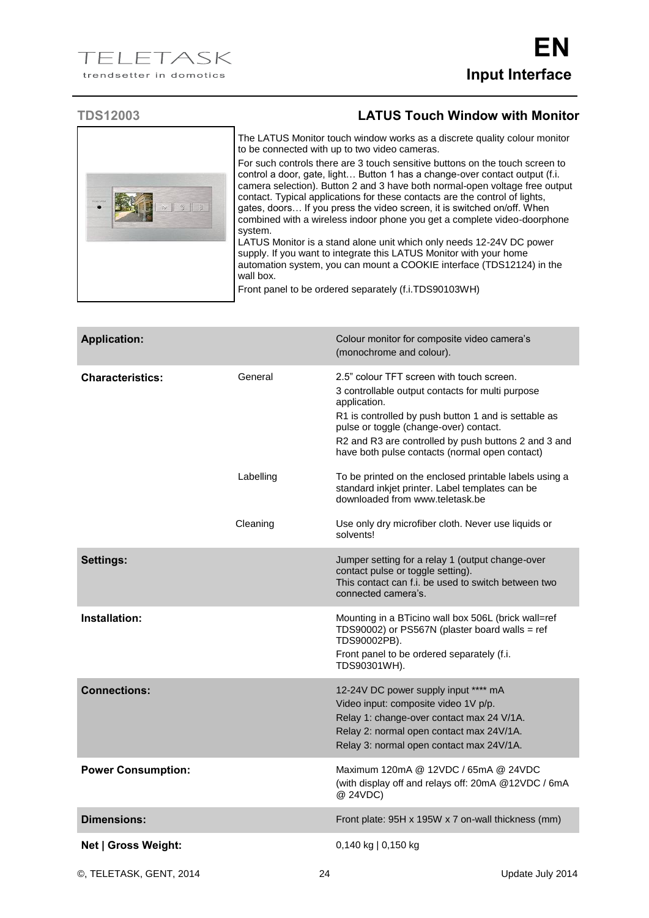

## **TDS12003 LATUS Touch Window with Monitor**

| The LATUS Monitor touch window works as a discrete quality colour monitor<br>to be connected with up to two video cameras.                                                                                                                                                                                                                                                                                                                                                                  |
|---------------------------------------------------------------------------------------------------------------------------------------------------------------------------------------------------------------------------------------------------------------------------------------------------------------------------------------------------------------------------------------------------------------------------------------------------------------------------------------------|
| For such controls there are 3 touch sensitive buttons on the touch screen to<br>control a door, gate, light Button 1 has a change-over contact output (f.i.<br>camera selection). Button 2 and 3 have both normal-open voltage free output<br>contact. Typical applications for these contacts are the control of lights,<br>gates, doors If you press the video screen, it is switched on/off. When<br>combined with a wireless indoor phone you get a complete video-doorphone<br>system. |
| LATUS Monitor is a stand alone unit which only needs 12-24V DC power<br>supply. If you want to integrate this LATUS Monitor with your home<br>automation system, you can mount a COOKIE interface (TDS12124) in the<br>wall box.                                                                                                                                                                                                                                                            |

Front panel to be ordered separately (f.i.TDS90103WH)

| <b>Application:</b>       |           | Colour monitor for composite video camera's<br>(monochrome and colour).                                                                                                                                                                                                                                                   |
|---------------------------|-----------|---------------------------------------------------------------------------------------------------------------------------------------------------------------------------------------------------------------------------------------------------------------------------------------------------------------------------|
| <b>Characteristics:</b>   | General   | 2.5" colour TFT screen with touch screen.<br>3 controllable output contacts for multi purpose<br>application.<br>R1 is controlled by push button 1 and is settable as<br>pulse or toggle (change-over) contact.<br>R2 and R3 are controlled by push buttons 2 and 3 and<br>have both pulse contacts (normal open contact) |
|                           | Labelling | To be printed on the enclosed printable labels using a<br>standard inkjet printer. Label templates can be<br>downloaded from www.teletask.be                                                                                                                                                                              |
|                           | Cleaning  | Use only dry microfiber cloth. Never use liquids or<br>solvents!                                                                                                                                                                                                                                                          |
| <b>Settings:</b>          |           | Jumper setting for a relay 1 (output change-over<br>contact pulse or toggle setting).<br>This contact can f.i. be used to switch between two<br>connected camera's.                                                                                                                                                       |
| Installation:             |           | Mounting in a BTicino wall box 506L (brick wall=ref<br>TDS90002) or PS567N (plaster board walls = ref<br>TDS90002PB).<br>Front panel to be ordered separately (f.i.<br>TDS90301WH).                                                                                                                                       |
| <b>Connections:</b>       |           | 12-24V DC power supply input **** mA<br>Video input: composite video 1V p/p.<br>Relay 1: change-over contact max 24 V/1A.<br>Relay 2: normal open contact max 24V/1A.<br>Relay 3: normal open contact max 24V/1A.                                                                                                         |
| <b>Power Consumption:</b> |           | Maximum 120mA @ 12VDC / 65mA @ 24VDC<br>(with display off and relays off: 20mA @12VDC / 6mA<br>@ 24VDC)                                                                                                                                                                                                                   |
| <b>Dimensions:</b>        |           | Front plate: 95H x 195W x 7 on-wall thickness (mm)                                                                                                                                                                                                                                                                        |
| Net   Gross Weight:       |           | 0,140 kg   0,150 kg                                                                                                                                                                                                                                                                                                       |